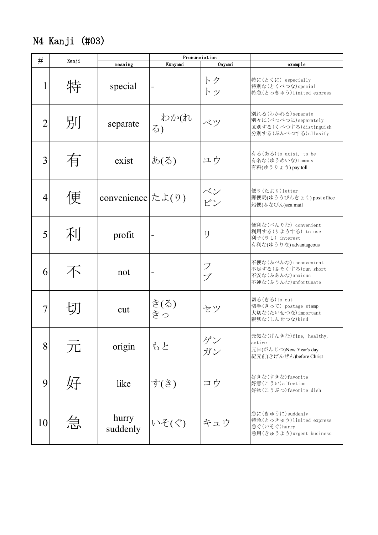N4 Kanji (#03)

| #  |       | Pronunciation                  |            |          |                                                                                               |
|----|-------|--------------------------------|------------|----------|-----------------------------------------------------------------------------------------------|
|    | Kanji | meaning                        | Kunyomi    | Onyomi   | example                                                                                       |
| 1  | 特     | special                        |            | トク<br>トッ | 特に(とくに) especially<br>特別な(とくべつな)special<br>特急(とっきゅう)limited express                           |
| 2  | 別     | separate                       | わか(れ<br>3) | ベツ       | 別れる(わかれる) separate<br>別々に(べつべつに)separately<br>区別する(くべつする)distinguish<br>分別する(ぶんべつする) cllasify |
| 3  | 有     | exist                          | あ(る)       | ユウ       | 有る(ある)to exist, to be<br>有名な(ゆうめいな)famous<br>有料(ゆうりょう) pay toll                               |
| 4  | 便     | convenience $ \nzeta(\theta) $ |            | ベン<br>ビン | 便り (たより) letter<br>郵便局(ゆううびんきょく) post office<br>船便(ふなびん)sea mail                              |
| 5  | 利     | profit                         | -          | IJ       | 便利な(べんりな) convenient<br>利用する(りようする) to use<br>利子(りし) interest<br>有利な(ゆうりな) advantageous       |
| 6  |       | not                            |            | フ<br>ブ   | 不便な(ふべんな) inconvenient<br>不足する(ふそくする)run short<br>不安な(ふあんな) anxious<br>不運な(ふうんな)unfortunate   |
|    |       | cut                            | き(る)<br>きっ | セツ       | 切る(きる)to cut<br>切手(きって) postage stamp<br>大切な(たいせつな)important<br>親切な(しんせつな)kind                |
| 8  | 兀     | origin                         | もと         | ゲン<br>ガン | 元気な(げんきな)fine, healthy,<br>active<br>元日(がんじつ)New Year's day<br>紀元前(きげんぜん)before Christ        |
| 9  | 好     | like                           | す(き)       | コウ       | 好きな(すきな)favorite<br>好意(こうい) affection<br>好物(こうぶつ)favorite dish                                |
| 10 | 急     | hurry<br>suddenly              | いそ(ぐ)      | キュウ      | 急に(きゅうに)suddenly<br>特急(とっきゅう)limited express<br>急ぐ(いそぐ)hurry<br>急用(きゅうよう)urgent business      |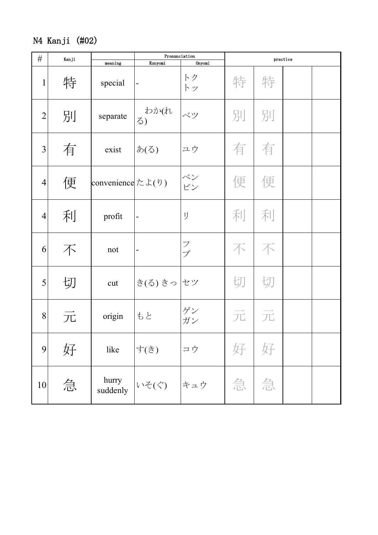## N4 Kanji (#02)

| $\#$           | Kanji |                                                 | Pronunciation            |                    | practice |   |  |  |
|----------------|-------|-------------------------------------------------|--------------------------|--------------------|----------|---|--|--|
|                |       | meaning                                         | Kunyomi                  | Onyomi             |          |   |  |  |
| $\mathbf{1}$   | 特     | special                                         | -                        | トク<br>トッ           | 特        | 特 |  |  |
| $\overline{2}$ | 別     | separate                                        | <sup> </sup> わか(れ<br>る)  | ベツ                 | 別        | 別 |  |  |
| 3              | 有     | exist                                           | あ(る)                     | ユウ                 | 有        | 有 |  |  |
| $\overline{4}$ | 便     | convenience $\approx$ $\downarrow$ ( $\theta$ ) |                          | ベン                 | 便        | 便 |  |  |
| $\overline{4}$ | 利     | profit                                          | $\vert$ –                | IJ                 | 利        | 利 |  |  |
| 6              | 不     | not                                             | $\overline{\phantom{0}}$ | $\mathcal{I}$<br>ブ | 不        | 不 |  |  |
| 5              | 切     | cut                                             | き(る) きっ セツ               |                    | 切        | 切 |  |  |
| 8              | 兀     | origin                                          | もと                       | ゲン<br>ガン           | 兀        | 兀 |  |  |
| 9              | 好     | like                                            | す(き)                     | コウ                 | 好        | 好 |  |  |
| 10             | 急     | hurry<br>suddenly                               | いそ(ぐ)                    | キュウ                | 急        | 急 |  |  |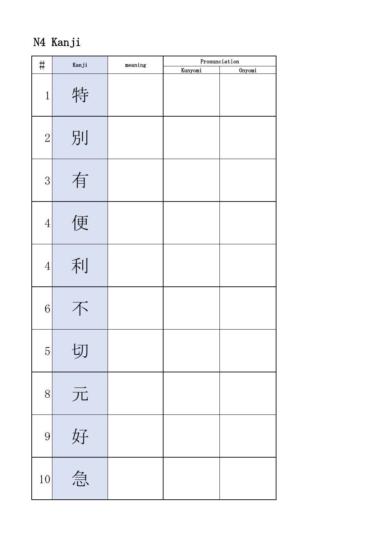N4 Kanji

| $\sharp$       | Kanji | $\mathtt{meaning}$ | Pronunciation |        |  |  |
|----------------|-------|--------------------|---------------|--------|--|--|
|                |       |                    | Kunyomi       | Onyomi |  |  |
| $\mathbf{1}$   | 特     |                    |               |        |  |  |
| $\overline{2}$ | 別     |                    |               |        |  |  |
| $\overline{3}$ | 有     |                    |               |        |  |  |
| $\overline{4}$ | 便     |                    |               |        |  |  |
| $\overline{4}$ | 利     |                    |               |        |  |  |
| 6              | 不     |                    |               |        |  |  |
| $\overline{5}$ | 切     |                    |               |        |  |  |
| 8              | 元     |                    |               |        |  |  |
| 9              | 好     |                    |               |        |  |  |
| $10\,$         | 急     |                    |               |        |  |  |